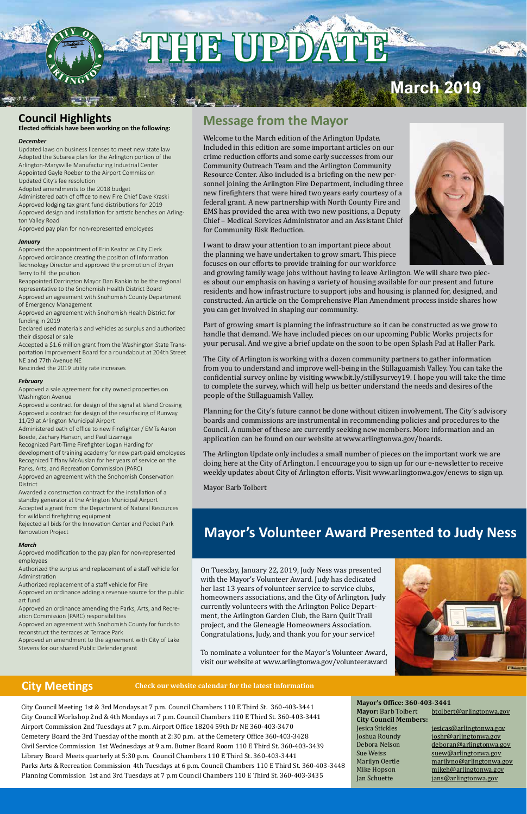City Council Meeting 1st & 3rd Mondays at 7 p.m. Council Chambers 110 E Third St. 360-403-3441 City Council Workshop 2nd & 4th Mondays at 7 p.m. Council Chambers 110 E Third St. 360-403-3441 Airport Commission 2nd Tuesdays at 7 p.m. Airport Office 18204 59th Dr NE 360-403-3470 Cemetery Board the 3rd Tuesday of the month at 2:30 p.m. at the Cemetery Office 360-403-3428 Civil Service Commission 1st Wednesdays at 9 a.m. Butner Board Room 110 E Third St. 360-403-3439 Library Board Meets quarterly at 5:30 p.m. Council Chambers 110 E Third St. 360-403-3441 Parks Arts & Recreation Commission 4th Tuesdays at 6 p.m. Council Chambers 110 E Third St. 360-403-3448 Planning Commission 1st and 3rd Tuesdays at 7 p.m Council Chambers 110 E Third St. 360-403-3435

#### **Mayor's Office: 360-403-3441**

**City Council Members:**

Mayor: Barb Tolbert btolbert@arlingtonwa.gov

Jesica Stickles jesicas@arlingtonwa.gov<br>Joshua Roundy joshr@arlingtonwa.gov Joshua Roundy joshr@arlingtonwa.gov Debora Nelson deboran@arlingtonwa.gov<br>Sue Weiss suew@arlingtonwa.gov Sue Weiss suew@arlingtonwa.gov<br>Marilyn Oertle marilyno@arlingtonwa. Marilyn Oertle marilyno@arlingtonwa.gov<br>Mike Hopson mikeh@arlingtonwa.gov Mike Hopson mikeh@arlingtonwa.gov<br>Jan Schuette jans@arlingtonwa.gov jans@arlingtonwa.gov

### **Message from the Mayor**

Welcome to the March edition of the Arlington Update. Included in this edition are some important articles on our crime reduction efforts and some early successes from our Community Outreach Team and the Arlington Community Resource Center. Also included is a briefing on the new personnel joining the Arlington Fire Department, including three new firefighters that were hired two years early courtesy of a federal grant. A new partnership with North County Fire and EMS has provided the area with two new positions, a Deputy Chief – Medical Services Administrator and an Assistant Chief for Community Risk Reduction.



I want to draw your attention to an important piece about the planning we have undertaken to grow smart. This piece focuses on our efforts to provide training for our workforce

and growing family wage jobs without having to leave Arlington. We will share two pieces about our emphasis on having a variety of housing available for our present and future residents and how infrastructure to support jobs and housing is planned for, designed, and constructed. An article on the Comprehensive Plan Amendment process inside shares how you can get involved in shaping our community.

Part of growing smart is planning the infrastructure so it can be constructed as we grow to handle that demand. We have included pieces on our upcoming Public Works projects for your perusal. And we give a brief update on the soon to be open Splash Pad at Haller Park.

The City of Arlington is working with a dozen community partners to gather information from you to understand and improve well-being in the Stillaguamish Valley. You can take the confidential survey online by visiting www.bit.ly/stillysurvey19. I hope you will take the time to complete the survey, which will help us better understand the needs and desires of the people of the Stillaguamish Valley.

Planning for the City's future cannot be done without citizen involvement. The City's advisory boards and commissions are instrumental in recommending policies and procedures to the Council. A number of these are currently seeking new members. More information and an application can be found on our website at www.arlingtonwa.gov/boards.

The Arlington Update only includes a small number of pieces on the important work we are doing here at the City of Arlington. I encourage you to sign up for our e-newsletter to receive weekly updates about City of Arlington efforts. Visit www.arlingtonwa.gov/enews to sign up.

Mayor Barb Tolbert

### **Council Highlights**

**Elected officials have been working on the following:**

#### *December*

Updated laws on business licenses to meet new state law Adopted the Subarea plan for the Arlington portion of the Arlington-Marysville Manufacturing Industrial Center Appointed Gayle Roeber to the Airport Commission Updated City's fee resolution

Adopted amendments to the 2018 budget Administered oath of office to new Fire Chief Dave Kraski Approved lodging tax grant fund distributions for 2019 Approved design and installation for artistic benches on Arlington Valley Road

Approved pay plan for non-represented employees

#### *January*

Approved the appointment of Erin Keator as City Clerk Approved ordinance creating the position of Information Technology Director and approved the promotion of Bryan Terry to fill the position

Reappointed Darrington Mayor Dan Rankin to be the regional representative to the Snohomish Health District Board Approved an agreement with Snohomish County Department

of Emergency Management Approved an agreement with Snohomish Health District for

funding in 2019

Declared used materials and vehicles as surplus and authorized their disposal or sale

Accepted a \$1.6 million grant from the Washington State Transportation Improvement Board for a roundabout at 204th Street NE and 77th Avenue NE

Rescinded the 2019 utility rate increases

#### *February*

Approved a sale agreement for city owned properties on Washington Avenue

Approved a contract for design of the signal at Island Crossing Approved a contract for design of the resurfacing of Runway 11/29 at Arlington Municipal Airport

Administered oath of office to new Firefighter / EMTs Aaron Boede, Zachary Hanson, and Paul Lizarraga

Recognized Part-Time Firefighter Logan Harding for

development of training academy for new part-paid employees Recognized Tiffany McAuslan for her years of service on the Parks, Arts, and Recreation Commission (PARC)

Approved an agreement with the Snohomish Conservation District

Awarded a construction contract for the installation of a standby generator at the Arlington Municipal Airport Accepted a grant from the Department of Natural Resources for wildland firefighting equipment

Rejected all bids for the Innovation Center and Pocket Park Renovation Project

#### *March*

Approved modification to the pay plan for non-represented employees

Authorized the surplus and replacement of a staff vehicle for Adminstration

Authorized replacement of a staff vehicle for Fire

Approved an ordinance adding a revenue source for the public art fund

Approved an ordinance amending the Parks, Arts, and Recreation Commission (PARC) responsibilities

Approved an agreement with Snohomish County for funds to

reconstruct the terraces at Terrace Park Approved an amendment to the agreement with City of Lake Stevens for our shared Public Defender grant

On Tuesday, January 22, 2019, Judy Ness was presented with the Mayor's Volunteer Award. Judy has dedicated her last 13 years of volunteer service to service clubs, homeowners associations, and the City of Arlington. Judy currently volunteers with the Arlington Police Department, the Arlington Garden Club, the Barn Quilt Trail project, and the Gleneagle Homeowners Association. Congratulations, Judy, and thank you for your service!



To nominate a volunteer for the Mayor's Volunteer Award, visit our website at www.arlingtonwa.gov/volunteeraward

### **City Meetings Check our website calendar for the latest information**

# **RHI**

# **March 2019**

### **Mayor's Volunteer Award Presented to Judy Ness**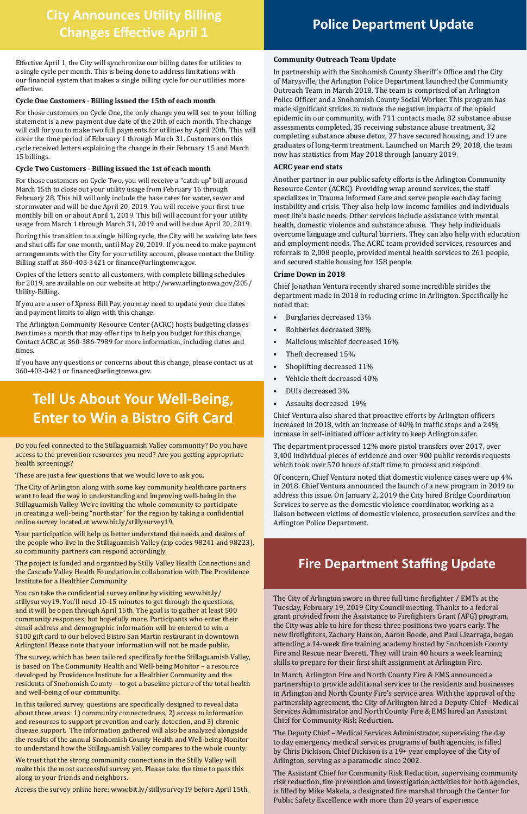#### **Community Outreach Team Update**

In partnership with the Snohomish County Sheriff's Office and the City of Marysville, the Arlington Police Department launched the Community Outreach Team in March 2018. The team is comprised of an Arlington Police Officer and a Snohomish County Social Worker. This program has made significant strides to reduce the negative impacts of the opioid epidemic in our community, with 711 contacts made, 82 substance abuse assessments completed, 35 receiving substance abuse treatment, 32 completing substance abuse detox, 27 have secured housing, and 19 are graduates of long-term treatment. Launched on March 29, 2018, the team now has statistics from May 2018 through January 2019.

#### **ACRC year end stats**

Another partner in our public safety efforts is the Arlington Community Resource Center (ACRC). Providing wrap around services, the staff specializes in Trauma Informed Care and serve people each day facing instability and crisis. They also help low-income families and individuals meet life's basic needs. Other services include assistance with mental health, domestic violence and substance abuse. They help individuals overcome language and cultural barriers. They can also help with education and employment needs. The ACRC team provided services, resources and referrals to 2,008 people, provided mental health services to 261 people, and secured stable housing for 158 people.

### **Police Department Update**<br>
Changes Fifestive Anvil 1 **Changes Effective April 1**

#### **Crime Down in 2018**

Chief Jonathan Ventura recently shared some incredible strides the department made in 2018 in reducing crime in Arlington. Specifically he noted that:

- Burglaries decreased 13%
- Robberies decreased 38%
- Malicious mischief decreased 16%
- Theft decreased 15%
- Shoplifting decreased 11%
- Vehicle theft decreased 40%
- DUIs decreased 3%
- Assaults decreased 19%

Chief Ventura also shared that proactive efforts by Arlington officers increased in 2018, with an increase of 40% in traffic stops and a 24% increase in self-initiated officer activity to keep Arlington safer.

The department processed 12% more pistol transfers over 2017, over 3,400 individual pieces of evidence and over 900 public records requests which took over 570 hours of staff time to process and respond.

Of concern, Chief Ventura noted that domestic violence cases were up 4% in 2018. Chief Ventura announced the launch of a new program in 2019 to address this issue. On January 2, 2019 the City hired Bridge Coordination Services to serve as the domestic violence coordinator, working as a liaison between victims of domestic violence, prosecution services and the Arlington Police Department.

Effective April 1, the City will synchronize our billing dates for utilities to a single cycle per month. This is being done to address limitations with our financial system that makes a single billing cycle for our utilities more effective.

#### **Cycle One Customers - Billing issued the 15th of each month**

For those customers on Cycle One, the only change you will see to your billing statement is a new payment due date of the 20th of each month. The change will call for you to make two full payments for utilities by April 20th. This will cover the time period of February 1 through March 31. Customers on this cycle received letters explaining the change in their February 15 and March 15 billings.

#### **Cycle Two Customers - Billing issued the 1st of each month**

For those customers on Cycle Two, you will receive a "catch up" bill around March 15th to close out your utility usage from February 16 through February 28. This bill will only include the base rates for water, sewer and stormwater and will be due April 20, 2019. You will receive your first true monthly bill on or about April 1, 2019. This bill will account for your utility usage from March 1 through March 31, 2019 and will be due April 20, 2019.

During this transition to a single billing cycle, the City will be waiving late fees and shut offs for one month, until May 20, 2019. If you need to make payment arrangements with the City for your utility account, please contact the Utility Billing staff at 360-403-3421 or finance@arlingtonwa.gov.

Copies of the letters sent to all customers, with complete billing schedules for 2019, are available on our website at http://www.arlingtonwa.gov/205/ Utility-Billing.

If you are a user of Xpress Bill Pay, you may need to update your due dates and payment limits to align with this change.

The Arlington Community Resource Center (ACRC) hosts budgeting classes two times a month that may offer tips to help you budget for this change. Contact ACRC at 360-386-7989 for more information, including dates and times.

If you have any questions or concerns about this change, please contact us at 360-403-3421 or finance@arlingtonwa.gov.

Do you feel connected to the Stillaguamish Valley community? Do you have access to the prevention resources you need? Are you getting appropriate health screenings?

These are just a few questions that we would love to ask you.

The City of Arlington along with some key community healthcare partners want to lead the way in understanding and improving well-being in the Stillaguamish Valley. We're inviting the whole community to participate in creating a well-being "northstar" for the region by taking a confidential online survey located at www.bit.ly/stillysurvey19.

Your participation will help us better understand the needs and desires of the people who live in the Stillaguamish Valley (zip codes 98241 and 98223), so community partners can respond accordingly.

The project is funded and organized by Stilly Valley Health Connections and the Cascade Valley Health Foundation in collaboration with The Providence Institute for a Healthier Community.

You can take the confidential survey online by visiting www.bit.ly/ stillysurvey19. You'll need 10-15 minutes to get through the questions, and it will be open through April 15th. The goal is to gather at least 500 community responses, but hopefully more. Participants who enter their email address and demographic information will be entered to win a \$100 gift card to our beloved Bistro San Martin restaurant in downtown Arlington! Please note that your information will not be made public.

The survey, which has been tailored specifically for the Stillaguamish Valley, is based on The Community Health and Well-being Monitor – a resource developed by Providence Institute for a Healthier Community and the residents of Snohomish County – to get a baseline picture of the total health and well-being of our community.

In this tailored survey, questions are specifically designed to reveal data about three areas: 1) community connectedness, 2) access to information and resources to support prevention and early detection, and 3) chronic disease support. The information gathered will also be analyzed alongside the results of the annual Snohomish County Health and Well-being Monitor to understand how the Stillaguamish Valley compares to the whole county.

We trust that the strong community connections in the Stilly Valley will make this the most successful survey yet. Please take the time to pass this along to your friends and neighbors.

Access the survey online here: www.bit.ly/stillysurvey19 before April 15th.

## **Tell Us About Your Well-Being, Enter to Win a Bistro Gift Card**

The City of Arlington swore in three full time firefighter / EMTs at the Tuesday, February 19, 2019 City Council meeting. Thanks to a federal grant provided from the Assistance to Firefighters Grant (AFG) program, the City was able to hire for these three positions two years early. The new firefighters, Zachary Hanson, Aaron Boede, and Paul Lizarraga, began attending a 14-week fire training academy hosted by Snohomish County Fire and Rescue near Everett. They will train 40 hours a week learning skills to prepare for their first shift assignment at Arlington Fire.

In March, Arlington Fire and North County Fire & EMS announced a partnership to provide additional services to the residents and businesses in Arlington and North County Fire's service area. With the approval of the partnership agreement, the City of Arlington hired a Deputy Chief - Medical Services Administrator and North County Fire & EMS hired an Assistant Chief for Community Risk Reduction.

The Deputy Chief – Medical Services Administrator, supervising the day to day emergency medical services programs of both agencies, is filled by Chris Dickison. Chief Dickison is a 19+ year employee of the City of Arlington, serving as a paramedic since 2002.

The Assistant Chief for Community Risk Reduction, supervising community risk reduction, fire prevention and investigation activities for both agencies, is filled by Mike Makela, a designated fire marshal through the Center for Public Safety Excellence with more than 20 years of experience.

### **Fire Department Staffing Update**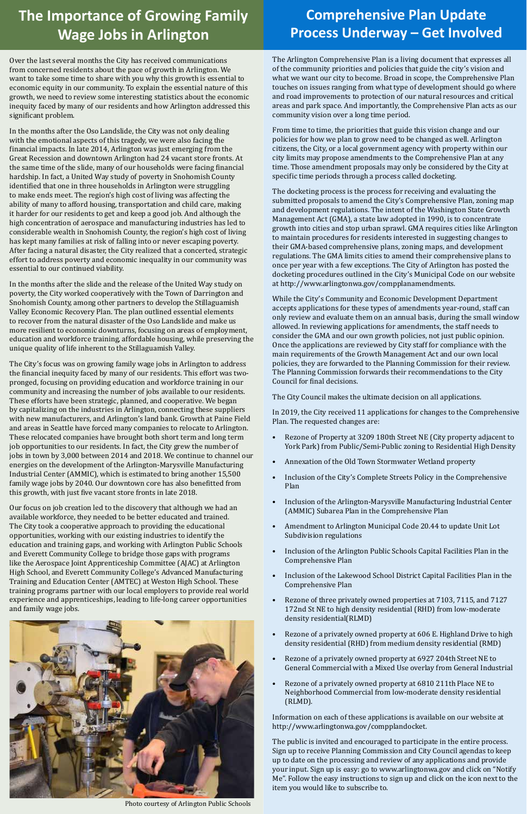The Arlington Comprehensive Plan is a living document that expresses all of the community priorities and policies that guide the city's vision and what we want our city to become. Broad in scope, the Comprehensive Plan touches on issues ranging from what type of development should go where and road improvements to protection of our natural resources and critical areas and park space. And importantly, the Comprehensive Plan acts as our community vision over a long time period.

From time to time, the priorities that guide this vision change and our policies for how we plan to grow need to be changed as well. Arlington citizens, the City, or a local government agency with property within our city limits may propose amendments to the Comprehensive Plan at any time. Those amendment proposals may only be considered by the City at specific time periods through a process called docketing.

The docketing process is the process for receiving and evaluating the submitted proposals to amend the City's Comprehensive Plan, zoning map and development regulations. The intent of the Washington State Growth Management Act (GMA), a state law adopted in 1990, is to concentrate growth into cities and stop urban sprawl. GMA requires cities like Arlington to maintain procedures for residents interested in suggesting changes to their GMA-based comprehensive plans, zoning maps, and development regulations. The GMA limits cities to amend their comprehensive plans to once per year with a few exceptions. The City of Arlington has posted the docketing procedures outlined in the City's Municipal Code on our website at http://www.arlingtonwa.gov/compplanamendments.

- Rezone of a privately owned property at 606 E. Highland Drive to high density residential (RHD) from medium density residential (RMD)
- Rezone of a privately owned property at 6927 204th Street NE to General Commercial with a Mixed Use overlay from General Industrial
- Rezone of a privately owned property at 6810 211th Place NE to Neighborhood Commercial from low-moderate density residential (RLMD).

While the City's Community and Economic Development Department accepts applications for these types of amendments year-round, staff can only review and evaluate them on an annual basis, during the small window allowed. In reviewing applications for amendments, the staff needs to consider the GMA and our own growth policies, not just public opinion. Once the applications are reviewed by City staff for compliance with the main requirements of the Growth Management Act and our own local policies, they are forwarded to the Planning Commission for their review. The Planning Commission forwards their recommendations to the City Council for final decisions.

The City Council makes the ultimate decision on all applications.

In 2019, the City received 11 applications for changes to the Comprehensive Plan. The requested changes are:

- Rezone of Property at 3209 180th Street NE (City property adjacent to York Park) from Public/Semi-Public zoning to Residential High Density
- Annexation of the Old Town Stormwater Wetland property
- Inclusion of the City's Complete Streets Policy in the Comprehensive Plan
- Inclusion of the Arlington-Marysville Manufacturing Industrial Center (AMMIC) Subarea Plan in the Comprehensive Plan
- Amendment to Arlington Municipal Code 20.44 to update Unit Lot Subdivision regulations
- Inclusion of the Arlington Public Schools Capital Facilities Plan in the Comprehensive Plan
- Inclusion of the Lakewood School District Capital Facilities Plan in the Comprehensive Plan
- Rezone of three privately owned properties at 7103, 7115, and 7127 172nd St NE to high density residential (RHD) from low-moderate density residential(RLMD)

Information on each of these applications is available on our website at http://www.arlingtonwa.gov/compplandocket.

The public is invited and encouraged to participate in the entire process. Sign up to receive Planning Commission and City Council agendas to keep up to date on the processing and review of any applications and provide your input. Sign up is easy: go to www.arlingtonwa.gov and click on "Notify Me". Follow the easy instructions to sign up and click on the icon next to the item you would like to subscribe to.

## **Comprehensive Plan Update Process Underway – Get Involved**

# **The Importance of Growing Family Wage Jobs in Arlington**

Over the last several months the City has received communications from concerned residents about the pace of growth in Arlington. We want to take some time to share with you why this growth is essential to economic equity in our community. To explain the essential nature of this growth, we need to review some interesting statistics about the economic inequity faced by many of our residents and how Arlington addressed this significant problem.

In the months after the Oso Landslide, the City was not only dealing with the emotional aspects of this tragedy, we were also facing the financial impacts. In late 2014, Arlington was just emerging from the Great Recession and downtown Arlington had 24 vacant store fronts. At the same time of the slide, many of our households were facing financial hardship. In fact, a United Way study of poverty in Snohomish County identified that one in three households in Arlington were struggling to make ends meet. The region's high cost of living was affecting the ability of many to afford housing, transportation and child care, making it harder for our residents to get and keep a good job. And although the high concentration of aerospace and manufacturing industries has led to considerable wealth in Snohomish County, the region's high cost of living has kept many families at risk of falling into or never escaping poverty. After facing a natural disaster, the City realized that a concerted, strategic effort to address poverty and economic inequality in our community was essential to our continued viability.

In the months after the slide and the release of the United Way study on poverty, the City worked cooperatively with the Town of Darrington and Snohomish County, among other partners to develop the Stillaguamish Valley Economic Recovery Plan. The plan outlined essential elements to recover from the natural disaster of the Oso Landslide and make us more resilient to economic downturns, focusing on areas of employment, education and workforce training, affordable housing, while preserving the unique quality of life inherent to the Stillaguamish Valley.

The City's focus was on growing family wage jobs in Arlington to address the financial inequity faced by many of our residents. This effort was twopronged, focusing on providing education and workforce training in our community and increasing the number of jobs available to our residents. These efforts have been strategic, planned, and cooperative. We began by capitalizing on the industries in Arlington, connecting these suppliers with new manufacturers, and Arlington's land bank. Growth at Paine Field and areas in Seattle have forced many companies to relocate to Arlington. These relocated companies have brought both short term and long term job opportunities to our residents. In fact, the City grew the number of jobs in town by 3,000 between 2014 and 2018. We continue to channel our energies on the development of the Arlington-Marysville Manufacturing Industrial Center (AMMIC), which is estimated to bring another 15,500 family wage jobs by 2040. Our downtown core has also benefitted from this growth, with just five vacant store fronts in late 2018.

Our focus on job creation led to the discovery that although we had an available workforce, they needed to be better educated and trained. The City took a cooperative approach to providing the educational opportunities, working with our existing industries to identify the education and training gaps, and working with Arlington Public Schools and Everett Community College to bridge those gaps with programs like the Aerospace Joint Apprenticeship Committee (AJAC) at Arlington High School, and Everett Community College's Advanced Manufacturing Training and Education Center (AMTEC) at Weston High School. These training programs partner with our local employers to provide real world experience and apprenticeships, leading to life-long career opportunities and family wage jobs.

#### **ALLEY IN**



Photo courtesy of Arlington Public Schools